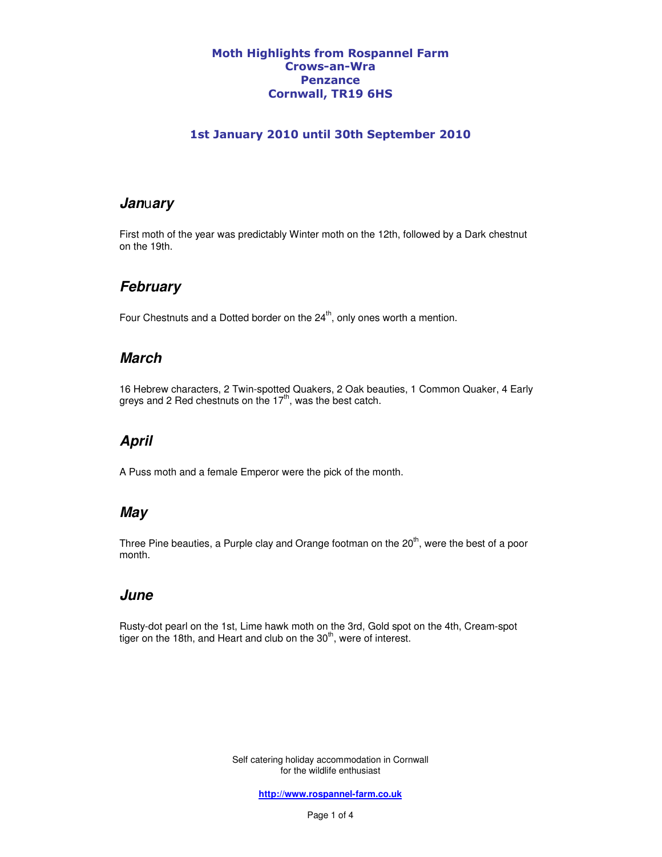#### Moth Highlights from Rospannel Farm Crows-an-Wra Penzance Cornwall, TR19 6HS

#### 1st January 2010 until 30th September 2010

#### **Jan**u**ary**

First moth of the year was predictably Winter moth on the 12th, followed by a Dark chestnut on the 19th.

### **February**

Four Chestnuts and a Dotted border on the  $24<sup>th</sup>$ , only ones worth a mention.

### **March**

16 Hebrew characters, 2 Twin-spotted Quakers, 2 Oak beauties, 1 Common Quaker, 4 Early greys and 2 Red chestnuts on the  $17<sup>th</sup>$ , was the best catch. Ĭ

## **April**

A Puss moth and a female Emperor were the pick of the month.

### **May**

Three Pine beauties, a Purple clay and Orange footman on the  $20<sup>th</sup>$ , were the best of a poor month.

### **June**

Rusty-dot pearl on the 1st, Lime hawk moth on the 3rd, Gold spot on the 4th, Cream-spot tiger on the 18th, and Heart and club on the 30<sup>th</sup>, were of interest.

> Self catering holiday accommodation in Cornwall for the wildlife enthusiast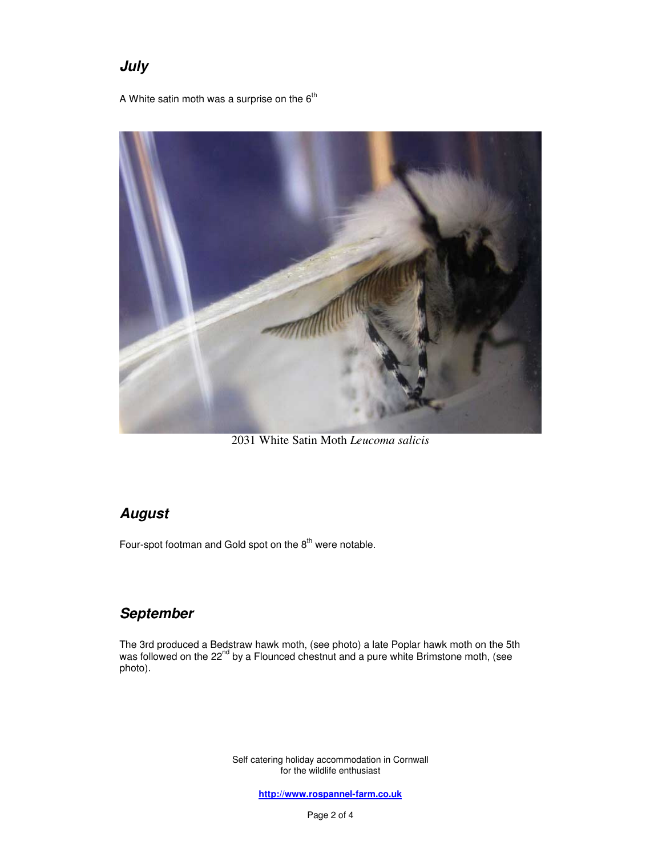# **July**

A White satin moth was a surprise on the  $6<sup>th</sup>$ 



2031 White Satin Moth *Leucoma salicis*

## **August**

Four-spot footman and Gold spot on the  $8<sup>th</sup>$  were notable.

## **September**

The 3rd produced a Bedstraw hawk moth, (see photo) a late Poplar hawk moth on the 5th was followed on the 22<sup>nd</sup> by a Flounced chestnut and a pure white Brimstone moth, (see photo). İ

> Self catering holiday accommodation in Cornwall for the wildlife enthusiast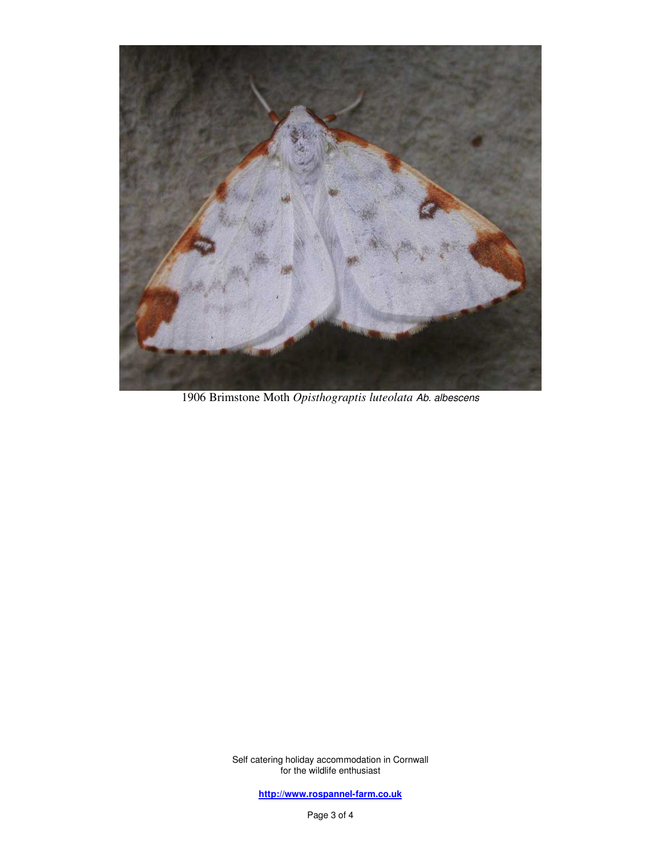

1906 Brimstone Moth *Opisthograptis luteolata* Ab. albescens

Self catering holiday accommodation in Cornwall for the wildlife enthusiast